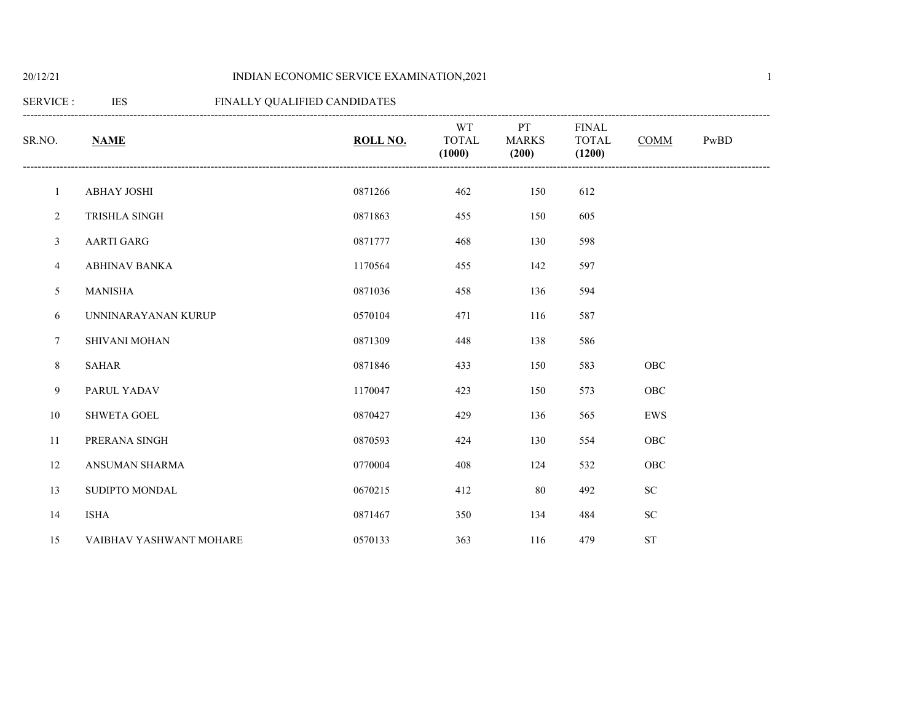# 20/12/21 INDIAN ECONOMIC SERVICE EXAMINATION,2021

# SERVICE : IES FINALLY QUALIFIED CANDIDATES

| SR.NO.         | <b>NAME</b>             | ROLL NO. | WT<br><b>TOTAL</b> | PT<br><b>MARKS</b> | <b>FINAL</b><br><b>TOTAL</b> | <b>COMM</b> | PwBD |
|----------------|-------------------------|----------|--------------------|--------------------|------------------------------|-------------|------|
|                |                         |          | (1000)             | (200)              | (1200)                       |             |      |
| $\mathbf{1}$   | <b>ABHAY JOSHI</b>      | 0871266  | 462                | 150                | 612                          |             |      |
| $\overline{c}$ | TRISHLA SINGH           | 0871863  | 455                | 150                | 605                          |             |      |
| 3              | <b>AARTI GARG</b>       | 0871777  | 468                | 130                | 598                          |             |      |
| $\overline{4}$ | <b>ABHINAV BANKA</b>    | 1170564  | 455                | 142                | 597                          |             |      |
| 5              | <b>MANISHA</b>          | 0871036  | 458                | 136                | 594                          |             |      |
| 6              | UNNINARAYANAN KURUP     | 0570104  | 471                | 116                | 587                          |             |      |
| 7              | <b>SHIVANI MOHAN</b>    | 0871309  | 448                | 138                | 586                          |             |      |
| $\,8\,$        | <b>SAHAR</b>            | 0871846  | 433                | 150                | 583                          | OBC         |      |
| 9              | PARUL YADAV             | 1170047  | 423                | 150                | 573                          | OBC         |      |
| 10             | SHWETA GOEL             | 0870427  | 429                | 136                | 565                          | EWS         |      |
| 11             | PRERANA SINGH           | 0870593  | 424                | 130                | 554                          | OBC         |      |
| 12             | ANSUMAN SHARMA          | 0770004  | 408                | 124                | 532                          | OBC         |      |
| 13             | SUDIPTO MONDAL          | 0670215  | 412                | 80                 | 492                          | ${\rm SC}$  |      |
| 14             | <b>ISHA</b>             | 0871467  | 350                | 134                | 484                          | ${\rm SC}$  |      |
| 15             | VAIBHAV YASHWANT MOHARE | 0570133  | 363                | 116                | 479                          | <b>ST</b>   |      |